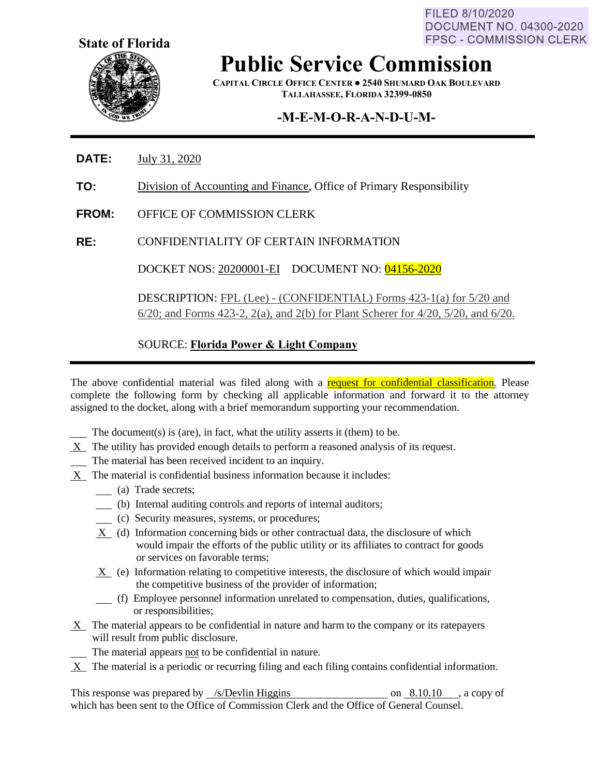FILED 8/10/2020 **DOCUMENT NO. 04300-2020 FPSC - COMMISSION CLERK** 



**Public Service Commission**

**CAPITAL CIRCLE OFFICE CENTER ● 2540 SHUMARD OAK BOULEVARD TALLAHASSEE, FLORIDA 32399-0850**

# **-M-E-M-O-R-A-N-D-U-M-**

- **DATE:** July 31, 2020
- **TO:** Division of Accounting and Finance, Office of Primary Responsibility
- **FROM:** OFFICE OF COMMISSION CLERK
- **RE:** CONFIDENTIALITY OF CERTAIN INFORMATION

DOCKET NOS: 20200001-EI DOCUMENT NO: 04156-2020

DESCRIPTION: FPL (Lee) - (CONFIDENTIAL) Forms 423-1(a) for 5/20 and 6/20; and Forms 423-2, 2(a), and 2(b) for Plant Scherer for 4/20, 5/20, and 6/20.

### SOURCE: **Florida Power & Light Company**

The above confidential material was filed along with a request for confidential classification. Please complete the following form by checking all applicable information and forward it to the attorney assigned to the docket, along with a brief memorandum supporting your recommendation.

The document(s) is (are), in fact, what the utility asserts it (them) to be.

- $X$  The utility has provided enough details to perform a reasoned analysis of its request.
- The material has been received incident to an inquiry.
- X The material is confidential business information because it includes:
	- (a) Trade secrets;
	- (b) Internal auditing controls and reports of internal auditors;
	- (c) Security measures, systems, or procedures;
	- X (d) Information concerning bids or other contractual data, the disclosure of which would impair the efforts of the public utility or its affiliates to contract for goods or services on favorable terms;
	- X (e) Information relating to competitive interests, the disclosure of which would impair the competitive business of the provider of information;
	- (f) Employee personnel information unrelated to compensation, duties, qualifications, or responsibilities;
- $X$  The material appears to be confidential in nature and harm to the company or its ratepayers will result from public disclosure.
	- The material appears not to be confidential in nature.
- X The material is a periodic or recurring filing and each filing contains confidential information.

This response was prepared by /s/Devlin Higgins on 8.10.10 , a copy of which has been sent to the Office of Commission Clerk and the Office of General Counsel.